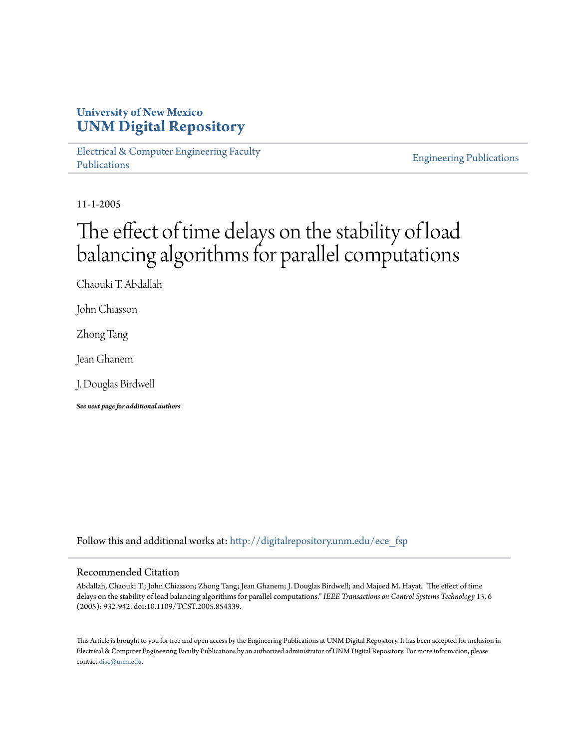# **University of New Mexico [UNM Digital Repository](http://digitalrepository.unm.edu?utm_source=digitalrepository.unm.edu%2Fece_fsp%2F55&utm_medium=PDF&utm_campaign=PDFCoverPages)**

[Electrical & Computer Engineering Faculty](http://digitalrepository.unm.edu/ece_fsp?utm_source=digitalrepository.unm.edu%2Fece_fsp%2F55&utm_medium=PDF&utm_campaign=PDFCoverPages) [Publications](http://digitalrepository.unm.edu/ece_fsp?utm_source=digitalrepository.unm.edu%2Fece_fsp%2F55&utm_medium=PDF&utm_campaign=PDFCoverPages)

[Engineering Publications](http://digitalrepository.unm.edu/eng_fsp?utm_source=digitalrepository.unm.edu%2Fece_fsp%2F55&utm_medium=PDF&utm_campaign=PDFCoverPages)

11-1-2005

# The effect of time delays on the stability of load balancing algorithms for parallel computations

Chaouki T. Abdallah

John Chiasson

Zhong Tang

Jean Ghanem

J. Douglas Birdwell

*See next page for additional authors*

Follow this and additional works at: [http://digitalrepository.unm.edu/ece\\_fsp](http://digitalrepository.unm.edu/ece_fsp?utm_source=digitalrepository.unm.edu%2Fece_fsp%2F55&utm_medium=PDF&utm_campaign=PDFCoverPages)

## Recommended Citation

Abdallah, Chaouki T.; John Chiasson; Zhong Tang; Jean Ghanem; J. Douglas Birdwell; and Majeed M. Hayat. "The effect of time delays on the stability of load balancing algorithms for parallel computations." *IEEE Transactions on Control Systems Technology* 13, 6 (2005): 932-942. doi:10.1109/TCST.2005.854339.

This Article is brought to you for free and open access by the Engineering Publications at UNM Digital Repository. It has been accepted for inclusion in Electrical & Computer Engineering Faculty Publications by an authorized administrator of UNM Digital Repository. For more information, please contact [disc@unm.edu.](mailto:disc@unm.edu)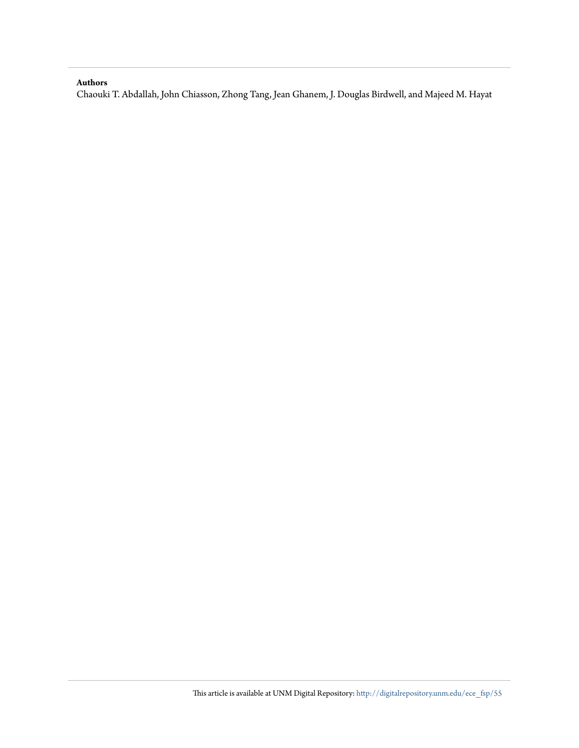### **Authors**

Chaouki T. Abdallah, John Chiasson, Zhong Tang, Jean Ghanem, J. Douglas Birdwell, and Majeed M. Hayat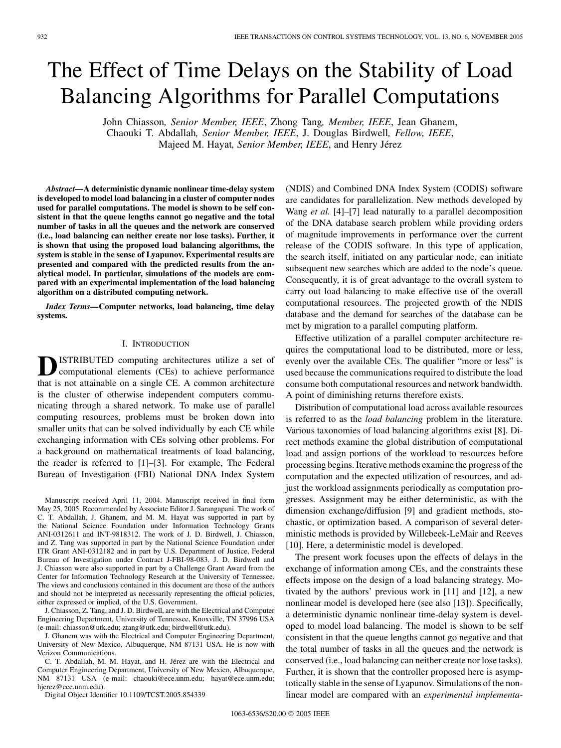# The Effect of Time Delays on the Stability of Load Balancing Algorithms for Parallel Computations

John Chiasson*, Senior Member, IEEE*, Zhong Tang*, Member, IEEE*, Jean Ghanem, Chaouki T. Abdallah*, Senior Member, IEEE*, J. Douglas Birdwell*, Fellow, IEEE*, Majeed M. Hayat*, Senior Member, IEEE*, and Henry Jérez

*Abstract—***A deterministic dynamic nonlinear time-delay system is developed to model load balancing in a cluster of computer nodes used for parallel computations. The model is shown to be self consistent in that the queue lengths cannot go negative and the total number of tasks in all the queues and the network are conserved (i.e., load balancing can neither create nor lose tasks). Further, it is shown that using the proposed load balancing algorithms, the system is stable in the sense of Lyapunov. Experimental results are presented and compared with the predicted results from the analytical model. In particular, simulations of the models are compared with an experimental implementation of the load balancing algorithm on a distributed computing network.**

*Index Terms—***Computer networks, load balancing, time delay systems.**

#### I. INTRODUCTION

**ISTRIBUTED** computing architectures utilize a set of computational elements (CEs) to achieve performance that is not attainable on a single CE. A common architecture is the cluster of otherwise independent computers communicating through a shared network. To make use of parallel computing resources, problems must be broken down into smaller units that can be solved individually by each CE while exchanging information with CEs solving other problems. For a background on mathematical treatments of load balancing, the reader is referred to [\[1](#page-11-0)]–[[3\]](#page-11-0). For example, The Federal Bureau of Investigation (FBI) National DNA Index System

Manuscript received April 11, 2004. Manuscript received in final form May 25, 2005. Recommended by Associate Editor J. Sarangapani. The work of C. T. Abdallah, J. Ghanem, and M. M. Hayat was supported in part by the National Science Foundation under Information Technology Grants ANI-0312611 and INT-9818312. The work of J. D. Birdwell, J. Chiasson, and Z. Tang was supported in part by the National Science Foundation under ITR Grant ANI-0312182 and in part by U.S. Department of Justice, Federal Bureau of Investigation under Contract J-FBI-98-083. J. D. Birdwell and J. Chiasson were also supported in part by a Challenge Grant Award from the Center for Information Technology Research at the University of Tennessee. The views and conclusions contained in this document are those of the authors and should not be interpreted as necessarily representing the official policies, either expressed or implied, of the U.S. Government.

J. Chiasson, Z. Tang, and J. D. Birdwell, are with the Electrical and Computer Engineering Department, University of Tennessee, Knoxville, TN 37996 USA (e-mail: chiasson@utk.edu; ztang@utk.edu; birdwell@utk.edu).

J. Ghanem was with the Electrical and Computer Engineering Department, University of New Mexico, Albuquerque, NM 87131 USA. He is now with Verizon Communications.

C. T. Abdallah, M. M. Hayat, and H. Jérez are with the Electrical and Computer Engineering Department, University of New Mexico, Albuquerque, NM 87131 USA (e-mail: chaouki@ece.unm.edu; hayat@ece.unm.edu; hjerez@ece.unm.edu).

Digital Object Identifier 10.1109/TCST.2005.854339

(NDIS) and Combined DNA Index System (CODIS) software are candidates for parallelization. New methods developed by Wang *et al.* [\[4](#page-11-0)]–[[7\]](#page-11-0) lead naturally to a parallel decomposition of the DNA database search problem while providing orders of magnitude improvements in performance over the current release of the CODIS software. In this type of application, the search itself, initiated on any particular node, can initiate subsequent new searches which are added to the node's queue. Consequently, it is of great advantage to the overall system to carry out load balancing to make effective use of the overall computational resources. The projected growth of the NDIS database and the demand for searches of the database can be met by migration to a parallel computing platform.

Effective utilization of a parallel computer architecture requires the computational load to be distributed, more or less, evenly over the available CEs. The qualifier "more or less" is used because the communications required to distribute the load consume both computational resources and network bandwidth. A point of diminishing returns therefore exists.

Distribution of computational load across available resources is referred to as the *load balancing* problem in the literature. Various taxonomies of load balancing algorithms exist [[8\]](#page-11-0). Direct methods examine the global distribution of computational load and assign portions of the workload to resources before processing begins. Iterative methods examine the progress of the computation and the expected utilization of resources, and adjust the workload assignments periodically as computation progresses. Assignment may be either deterministic, as with the dimension exchange/diffusion [\[9](#page-11-0)] and gradient methods, stochastic, or optimization based. A comparison of several deterministic methods is provided by Willebeek-LeMair and Reeves [[10\]](#page-11-0). Here, a deterministic model is developed.

The present work focuses upon the effects of delays in the exchange of information among CEs, and the constraints these effects impose on the design of a load balancing strategy. Motivated by the authors' previous work in [[11\]](#page-11-0) and [\[12](#page-11-0)], a new nonlinear model is developed here (see also [\[13](#page-11-0)]). Specifically, a deterministic dynamic nonlinear time-delay system is developed to model load balancing. The model is shown to be self consistent in that the queue lengths cannot go negative and that the total number of tasks in all the queues and the network is conserved (i.e., load balancing can neither create nor lose tasks). Further, it is shown that the controller proposed here is asymptotically stable in the sense of Lyapunov. Simulations of the nonlinear model are compared with an *experimental implementa-*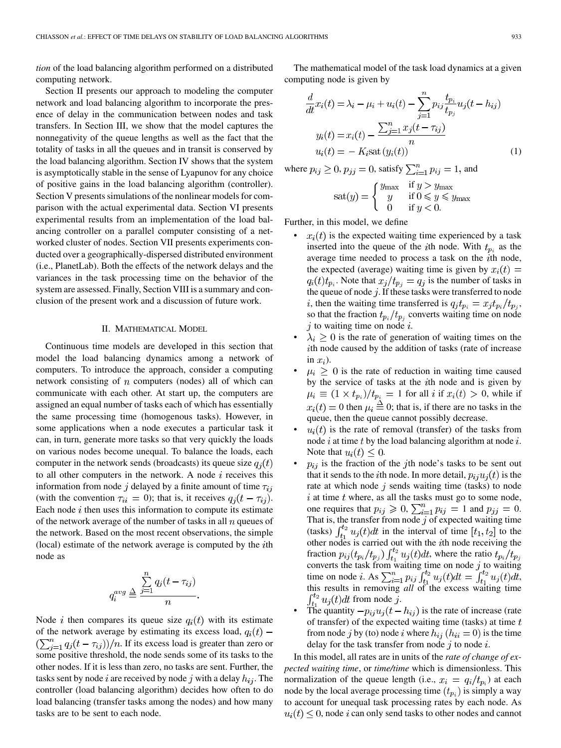*tion* of the load balancing algorithm performed on a distributed computing network.

Section II presents our approach to modeling the computer network and load balancing algorithm to incorporate the presence of delay in the communication between nodes and task transfers. In Section III, we show that the model captures the nonnegativity of the queue lengths as well as the fact that the totality of tasks in all the queues and in transit is conserved by the load balancing algorithm. Section IV shows that the system is asymptotically stable in the sense of Lyapunov for any choice of positive gains in the load balancing algorithm (controller). Section V presents simulations of the nonlinear models for comparison with the actual experimental data. Section VI presents experimental results from an implementation of the load balancing controller on a parallel computer consisting of a networked cluster of nodes. Section VII presents experiments conducted over a geographically-dispersed distributed environment (i.e., PlanetLab). Both the effects of the network delays and the variances in the task processing time on the behavior of the system are assessed. Finally, Section VIII is a summary and conclusion of the present work and a discussion of future work.

#### II. MATHEMATICAL MODEL

Continuous time models are developed in this section that model the load balancing dynamics among a network of computers. To introduce the approach, consider a computing network consisting of  $n$  computers (nodes) all of which can communicate with each other. At start up, the computers are assigned an equal number of tasks each of which has essentially the same processing time (homogenous tasks). However, in some applications when a node executes a particular task it can, in turn, generate more tasks so that very quickly the loads on various nodes become unequal. To balance the loads, each computer in the network sends (broadcasts) its queue size  $q_i(t)$ to all other computers in the network. A node  $i$  receives this information from node j delayed by a finite amount of time  $\tau_{ij}$ (with the convention  $\tau_{ii} = 0$ ); that is, it receives  $q_j(t - \tau_{ij})$ . Each node  $i$  then uses this information to compute its estimate of the network average of the number of tasks in all  $n$  queues of the network. Based on the most recent observations, the simple (local) estimate of the network average is computed by the  $i$ th node as

$$
q_i^{avg} \stackrel{\triangle}{=} \frac{\sum_{j=1}^n q_j(t - \tau_{ij})}{n}.
$$

Node i then compares its queue size  $q_i(t)$  with its estimate of the network average by estimating its excess load,  $q_i(t)$  –  $(\sum_{i=1}^n q_i(t - \tau_{ij}))$ /n. If its excess load is greater than zero or some positive threshold, the node sends some of its tasks to the other nodes. If it is less than zero, no tasks are sent. Further, the tasks sent by node i are received by node j with a delay  $h_{ij}$ . The controller (load balancing algorithm) decides how often to do load balancing (transfer tasks among the nodes) and how many tasks are to be sent to each node.

The mathematical model of the task load dynamics at a given computing node is given by

$$
\frac{d}{dt}x_i(t) = \lambda_i - \mu_i + u_i(t) - \sum_{j=1}^n p_{ij} \frac{t_{p_i}}{t_{p_j}} u_j(t - h_{ij})
$$
\n
$$
y_i(t) = x_i(t) - \frac{\sum_{j=1}^n x_j(t - \tau_{ij})}{n}
$$
\n
$$
u_i(t) = -K_i \text{sat} (y_i(t)) \tag{1}
$$

where  $p_{ij} \ge 0$ ,  $p_{jj} = 0$ , satisfy  $\sum_{i=1}^{n} p_{ij} = 1$ , and

$$
sat(y) = \begin{cases} y_{\text{max}} & \text{if } y > y_{\text{max}} \\ y & \text{if } 0 \le y \le y_{\text{max}} \\ 0 & \text{if } y < 0. \end{cases}
$$

Further, in this model, we define

- $x_i(t)$  is the expected waiting time experienced by a task inserted into the queue of the *i*th node. With  $t_{p_i}$  as the average time needed to process a task on the  $i$ th node, the expected (average) waiting time is given by  $x_i(t) =$  $q_i(t)t_{p_i}$ . Note that  $x_j/t_{p_j} = q_j$  is the number of tasks in the queue of node  $j$ . If these tasks were transferred to node *i*, then the waiting time transferred is  $q_j t_{p_i} = x_j t_{p_i} / t_{p_j}$ , so that the fraction  $t_{p_i}/t_{p_j}$  converts waiting time on node  $j$  to waiting time on node  $i$ .
- $\lambda_i \geq 0$  is the rate of generation of waiting times on the th node caused by the addition of tasks (rate of increase in  $x_i$ ).
- $\mu_i \geq 0$  is the rate of reduction in waiting time caused by the service of tasks at the  $i$ th node and is given by  $\mu_i \equiv (1 \times t_{p_i})/t_{p_i} = 1$  for all i if  $x_i(t) > 0$ , while if  $x_i(t) = 0$  then  $\mu_i \triangleq 0$ ; that is, if there are no tasks in the queue, then the queue cannot possibly decrease.
- $u_i(t)$  is the rate of removal (transfer) of the tasks from node  $i$  at time  $t$  by the load balancing algorithm at node  $i$ . Note that  $u_i(t) \leq 0$ .
- $p_{ij}$  is the fraction of the jth node's tasks to be sent out that it sends to the *i*th node. In more detail,  $p_{i,j}u_i(t)$  is the rate at which node  $j$  sends waiting time (tasks) to node  $i$  at time  $t$  where, as all the tasks must go to some node, one requires that  $p_{ij} \geq 0$ ,  $\sum_{i=1}^n p_{ij} = 1$  and  $p_{ij} = 0$ . That is, the transfer from node  $j$  of expected waiting time (tasks)  $\int_{t_1}^{t_2} u_i(t) dt$  in the interval of time  $[t_1, t_2]$  to the other nodes is carried out with the  $i$ th node receiving the fraction  $p_{ij}(t_{p_i}/t_{p_j}) \int_{t_1}^{t_2} u_j(t) dt$ , where the ratio converts the task from waiting time on node  $j$  to waiting time on node *i*. As  $\sum_{i=1}^{n} p_{ij} \int_{t_1}^{t_2} u_i(t) dt = \int_{t_1}^{t_2} u_i(t) dt$ , this results in removing *all* of the excess waiting time  $\int_{t_1}^{t_2} u_j(t) dt$  from node j.
- The quantity  $-p_{ij}u_j(t-h_{ij})$  is the rate of increase (rate of transfer) of the expected waiting time (tasks) at time  $t$ from node j by (to) node i where  $h_{ij}$   $(h_{ii} = 0)$  is the time delay for the task transfer from node  $j$  to node  $i$ .

In this model, all rates are in units of the *rate of change of expected waiting time*, or *time/time* which is dimensionless. This normalization of the queue length (i.e.,  $x_i = q_i/t_{p_i}$ ) at each node by the local average processing time  $(t_{p_i})$  is simply a way to account for unequal task processing rates by each node. As  $u_i(t) \leq 0$ , node i can only send tasks to other nodes and cannot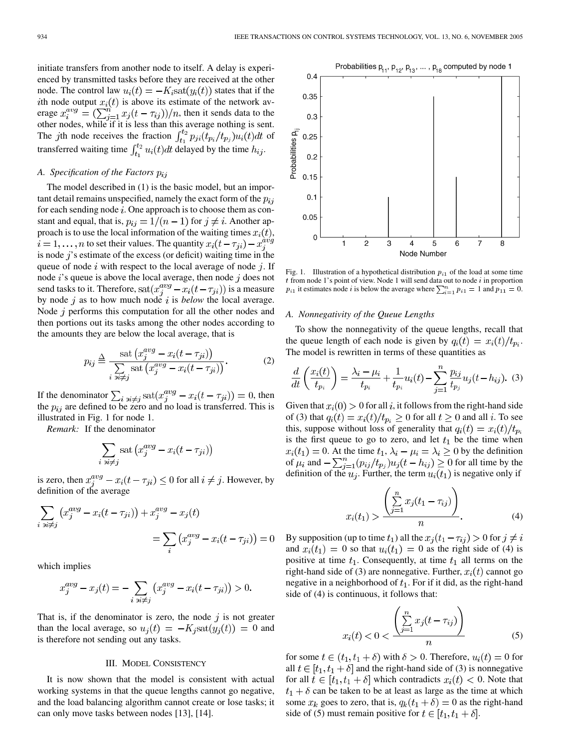initiate transfers from another node to itself. A delay is experienced by transmitted tasks before they are received at the other node. The control law  $u_i(t) = -K_i \text{sat}(y_i(t))$  states that if the ith node output  $x_i(t)$  is above its estimate of the network average  $x_i^{avg} = (\sum_{j=1}^n x_j(t - \tau_{ij}))/n$ , then it sends data to the other nodes, while if it is less than this average nothing is sent. The jth node receives the fraction  $\int_{t_1}^{t_2} p_{ii}(t_{p_i}/t_{p_i}) u_i(t) dt$  of transferred waiting time  $\int_{t_1}^{t_2} u_i(t) dt$  delayed by the time  $h_{ij}$ .

#### *A. Specification of the Factors*

The model described in (1) is the basic model, but an important detail remains unspecified, namely the exact form of the  $p_{ij}$ for each sending node  $i$ . One approach is to choose them as constant and equal, that is,  $p_{ij} = 1/(n - 1)$  for  $j \neq i$ . Another approach is to use the local information of the waiting times  $x_i(t)$ ,  $i = 1, \dots, n$  to set their values. The quantity  $x_i(t - \tau_{ji}) - x_i^{\dot{a}i\dot{g}}$ is node  $j$ 's estimate of the excess (or deficit) waiting time in the queue of node i with respect to the local average of node  $i$ . If node  $i$ 's queue is above the local average, then node  $j$  does not send tasks to it. Therefore,  $\text{sat}(x_j^{avg} - x_i(t - \tau_{ji}))$  is a measure by node  $j$  as to how much node  $i$  is *below* the local average. Node  $j$  performs this computation for all the other nodes and then portions out its tasks among the other nodes according to the amounts they are below the local average, that is

$$
p_{ij} \stackrel{\Delta}{=} \frac{\text{sat}\left(x_j^{avg} - x_i(t - \tau_{ji})\right)}{\sum\limits_{i \ni i \neq j} \text{sat}\left(x_j^{avg} - x_i(t - \tau_{ji})\right)}.
$$
 (2)

If the denominator  $\sum_{i \text{ s.t. } i} \text{sat}(x_i^{avg} - x_i(t - \tau_{ii})) = 0$ , then the  $p_{ij}$  are defined to be zero and no load is transferred. This is illustrated in Fig. 1 for node 1.

*Remark:* If the denominator

$$
\sum_{i \; i \neq j} \operatorname{sat} \left( x_j^{avg} - x_i(t - \tau_{ji}) \right)
$$

is zero, then  $x_j^{avg} - x_i(t - \tau_{ji}) \leq 0$  for all  $i \neq j$ . However, by definition of the average

$$
\sum_{i \ni i \neq j} \left( x_j^{avg} - x_i(t - \tau_{ji}) \right) + x_j^{avg} - x_j(t)
$$

$$
= \sum_i \left( x_j^{avg} - x_i(t - \tau_{ji}) \right) = 0
$$

which implies

$$
x_j^{avg} - x_j(t) = -\sum_{i \; j \neq j} \left( x_j^{avg} - x_i(t - \tau_{ji}) \right) > 0.
$$

That is, if the denominator is zero, the node  $j$  is not greater than the local average, so  $u_i(t) = -K_i \text{sat}(y_i(t)) = 0$  and is therefore not sending out any tasks.

#### III. MODEL CONSISTENCY

It is now shown that the model is consistent with actual working systems in that the queue lengths cannot go negative, and the load balancing algorithm cannot create or lose tasks; it can only move tasks between nodes [[13\]](#page-11-0), [\[14](#page-11-0)].



Fig. 1. Illustration of a hypothetical distribution  $p_{i1}$  of the load at some time  $t$  from node 1's point of view. Node 1 will send data out to node  $i$  in proportion  $p_{i1}$  it estimates node i is below the average where  $\sum_{i=1}^{n} p_{i1} = 1$  and  $p_{11} = 0$ .

#### *A. Nonnegativity of the Queue Lengths*

To show the nonnegativity of the queue lengths, recall that the queue length of each node is given by  $q_i(t) = x_i(t)/t_{p_i}$ . The model is rewritten in terms of these quantities as

$$
\frac{d}{dt}\left(\frac{x_i(t)}{t_{p_i}}\right) = \frac{\lambda_i - \mu_i}{t_{p_i}} + \frac{1}{t_{p_i}}u_i(t) - \sum_{j=1}^n \frac{p_{ij}}{t_{p_j}}u_j(t - h_{ij}).
$$
 (3)

Given that  $x_i(0) > 0$  for all i, it follows from the right-hand side of (3) that  $q_i(t) = x_i(t)/t_{p_i} \ge 0$  for all  $t \ge 0$  and all i. To see this, suppose without loss of generality that  $q_i(t) = x_i(t)/t_{p_i}$ is the first queue to go to zero, and let  $t_1$  be the time when  $x_i(t_1) = 0$ . At the time  $t_1, \lambda_i - \mu_i = \lambda_i \geq 0$  by the definition of  $\mu_i$  and  $-\sum_{j=1}^n (p_{ij}/t_{p_j})u_j(t-h_{ij}) \ge 0$  for all time by the definition of the  $u_j$ . Further, the term  $u_i(t_1)$  is negative only if

$$
x_i(t_1) > \frac{\left(\sum_{j=1}^n x_j(t_1 - \tau_{ij})\right)}{n}.
$$
 (4)

By supposition (up to time  $t_1$ ) all the  $x_j(t_1 - \tau_{ij}) > 0$  for  $j \neq i$ and  $x_i(t_1) = 0$  so that  $u_i(t_1) = 0$  as the right side of (4) is positive at time  $t_1$ . Consequently, at time  $t_1$  all terms on the right-hand side of (3) are nonnegative. Further,  $x_i(t)$  cannot go negative in a neighborhood of  $t_1$ . For if it did, as the right-hand side of (4) is continuous, it follows that:

$$
x_i(t) < 0 < \frac{\left(\sum\limits_{j=1}^n x_j(t - \tau_{ij})\right)}{n} \tag{5}
$$

for some  $t \in (t_1, t_1 + \delta)$  with  $\delta > 0$ . Therefore,  $u_i(t) = 0$  for all  $t \in [t_1, t_1 + \delta]$  and the right-hand side of (3) is nonnegative for all  $t \in [t_1, t_1 + \delta]$  which contradicts  $x_i(t) < 0$ . Note that  $t_1 + \delta$  can be taken to be at least as large as the time at which some  $x_k$  goes to zero, that is,  $q_k(t_1 + \delta) = 0$  as the right-hand side of (5) must remain positive for  $t \in [t_1, t_1 + \delta]$ .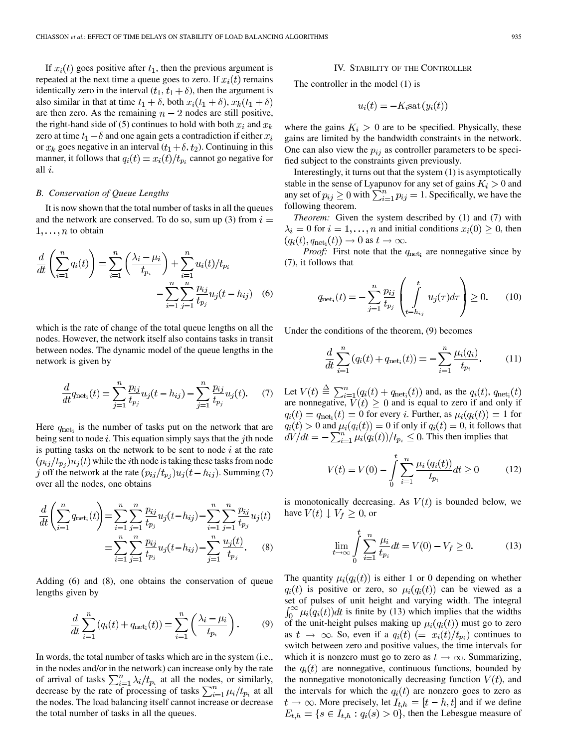If  $x_i(t)$  goes positive after  $t_1$ , then the previous argument is repeated at the next time a queue goes to zero. If  $x_i(t)$  remains identically zero in the interval  $(t_1, t_1 + \delta)$ , then the argument is also similar in that at time  $t_1 + \delta$ , both  $x_i(t_1 + \delta)$ ,  $x_k(t_1 + \delta)$ are then zero. As the remaining  $n-2$  nodes are still positive, the right-hand side of (5) continues to hold with both  $x_i$  and  $x_k$ zero at time  $t_1 + \delta$  and one again gets a contradiction if either  $x_i$ or  $x_k$  goes negative in an interval  $(t_1 + \delta, t_2)$ . Continuing in this manner, it follows that  $q_i(t) = x_i(t)/t_{p_i}$  cannot go negative for all  $i$ .

#### *B. Conservation of Queue Lengths*

 $\mathcal{L}$ 

It is now shown that the total number of tasks in all the queues and the network are conserved. To do so, sum up (3) from  $i =$  $1, \ldots, n$  to obtain

$$
\frac{d}{dt}\left(\sum_{i=1}^{n}q_i(t)\right) = \sum_{i=1}^{n}\left(\frac{\lambda_i - \mu_i}{t_{p_i}}\right) + \sum_{i=1}^{n}u_i(t)/t_{p_i} - \sum_{i=1}^{n}\sum_{j=1}^{n}\frac{p_{ij}}{t_{p_j}}u_j(t - h_{ij})
$$
(6)

which is the rate of change of the total queue lengths on all the nodes. However, the network itself also contains tasks in transit between nodes. The dynamic model of the queue lengths in the network is given by

$$
\frac{d}{dt}q_{\text{net}_i}(t) = \sum_{j=1}^n \frac{p_{ij}}{t_{p_j}} u_j(t - h_{ij}) - \sum_{j=1}^n \frac{p_{ij}}{t_{p_j}} u_j(t). \tag{7}
$$

Here  $q_{\text{net}}$  is the number of tasks put on the network that are being sent to node  $i$ . This equation simply says that the jth node is putting tasks on the network to be sent to node  $i$  at the rate  $(p_{ij}/t_{p_i})u_j(t)$  while the *i*th node is taking these tasks from node j off the network at the rate  $(p_{ij}/t_{p_i})u_j(t-h_{ij})$ . Summing (7) over all the nodes, one obtains

$$
\frac{d}{dt} \left( \sum_{i=1}^{n} q_{\text{net}_i}(t) \right) = \sum_{i=1}^{n} \sum_{j=1}^{n} \frac{p_{ij}}{t_{p_j}} u_j(t - h_{ij}) - \sum_{i=1}^{n} \sum_{j=1}^{n} \frac{p_{ij}}{t_{p_j}} u_j(t) \n= \sum_{i=1}^{n} \sum_{j=1}^{n} \frac{p_{ij}}{t_{p_j}} u_j(t - h_{ij}) - \sum_{j=1}^{n} \frac{u_j(t)}{t_{p_j}}.
$$
\n(8)

Adding (6) and (8), one obtains the conservation of queue lengths given by

$$
\frac{d}{dt} \sum_{i=1}^{n} (q_i(t) + q_{\text{net}_i}(t)) = \sum_{i=1}^{n} \left( \frac{\lambda_i - \mu_i}{t_{p_i}} \right). \tag{9}
$$

In words, the total number of tasks which are in the system (i.e., in the nodes and/or in the network) can increase only by the rate of arrival of tasks  $\sum_{i=1}^{n} \lambda_i / t_{p_i}$  at all the nodes, or similarly, decrease by the rate of processing of tasks  $\sum_{i=1}^{n} \mu_i / t_{p_i}$  at all the nodes. The load balancing itself cannot increase or decrease the total number of tasks in all the queues.

#### IV. STABILITY OF THE CONTROLLER

The controller in the model (1) is

$$
u_i(t) = -K_i \text{sat}(y_i(t))
$$

where the gains  $K_i > 0$  are to be specified. Physically, these gains are limited by the bandwidth constraints in the network. One can also view the  $p_{ij}$  as controller parameters to be specified subject to the constraints given previously.

Interestingly, it turns out that the system (1) is asymptotically stable in the sense of Lyapunov for any set of gains  $K_i > 0$  and any set of  $p_{ij} \ge 0$  with  $\sum_{i=1}^{n} p_{ij} = 1$ . Specifically, we have the following theorem.

*Theorem:* Given the system described by (1) and (7) with  $\lambda_i = 0$  for  $i = 1, \dots, n$  and initial conditions  $x_i(0) \geq 0$ , then  $(q_i(t), q_{\text{net}_i}(t)) \to 0$  as  $t \to \infty$ .

*Proof:* First note that the  $q_{\text{net}_i}$  are nonnegative since by (7), it follows that

$$
q_{\text{net}_{i}}(t) = -\sum_{j=1}^{n} \frac{p_{ij}}{t_{p_j}} \left( \int_{t-h_{ij}}^{t} u_j(\tau) d\tau \right) \ge 0. \quad (10)
$$

Under the conditions of the theorem, (9) becomes

$$
\frac{d}{dt} \sum_{i=1}^{n} (q_i(t) + q_{\text{net}_i}(t)) = -\sum_{i=1}^{n} \frac{\mu_i(q_i)}{t_{p_i}}.
$$
 (11)

Let  $V(t) \triangleq \sum_{i=1}^{n} (q_i(t) + q_{\text{net}_i}(t))$  and, as the  $q_i(t)$ , are nonnegative,  $V(t) \geq 0$  and is equal to zero if and only if  $q_i(t) = q_{\text{net}_i}(t) = 0$  for every *i*. Further, as  $\mu_i(q_i(t)) = 1$  for  $q_i(t) > 0$  and  $\mu_i(q_i(t)) = 0$  if only if  $q_i(t) = 0$ , it follows that  $dV/dt = -\sum_{i=1}^{n} \mu_i(q_i(t))/t_{p_i} \leq 0$ . This then implies that

$$
V(t) = V(0) - \int_{0}^{t} \sum_{i=1}^{n} \frac{\mu_i(q_i(t))}{t_{p_i}} dt \ge 0
$$
 (12)

is monotonically decreasing. As  $V(t)$  is bounded below, we have  $V(t) \downarrow V_f \geq 0$ , or

$$
\lim_{t \to \infty} \int_{0}^{t} \sum_{i=1}^{n} \frac{\mu_i}{t_{p_i}} dt = V(0) - V_f \ge 0.
$$
 (13)

The quantity  $\mu_i(q_i(t))$  is either 1 or 0 depending on whether  $q_i(t)$  is positive or zero, so  $\mu_i(q_i(t))$  can be viewed as a set of pulses of unit height and varying width. The integral  $\int_0^\infty \mu_i(q_i(t))dt$  is finite by (13) which implies that the widths of the unit-height pulses making up  $\mu_i(q_i(t))$  must go to zero as  $t \to \infty$ . So, even if a  $q_i(t)$  (=  $x_i(t)/t_{p_i}$ ) continues to switch between zero and positive values, the time intervals for which it is nonzero must go to zero as  $t \to \infty$ . Summarizing, the  $q_i(t)$  are nonnegative, continuous functions, bounded by the nonnegative monotonically decreasing function  $V(t)$ , and the intervals for which the  $q_i(t)$  are nonzero goes to zero as  $t \to \infty$ . More precisely, let  $I_{t,h} = [t-h,t]$  and if we define  $E_{t,h} = \{ s \in I_{t,h} : q_i(s) > 0 \}$ , then the Lebesgue measure of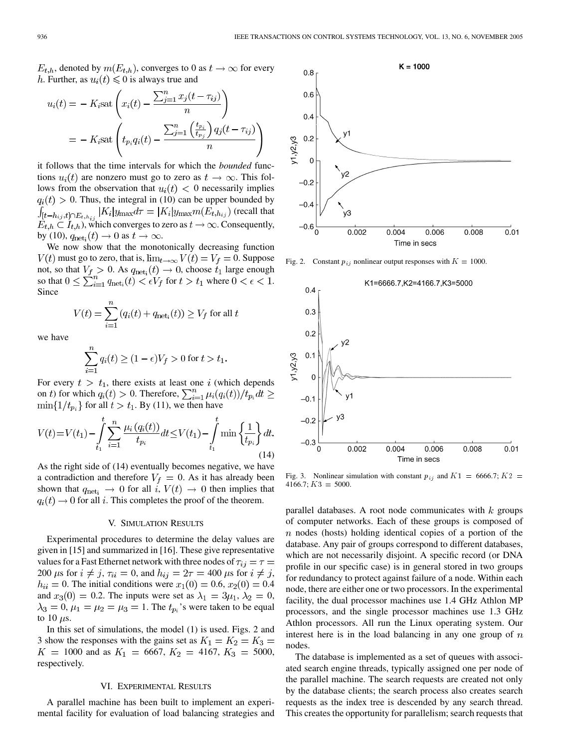$E_{t,h}$ , denoted by  $m(E_{t,h})$ , converges to 0 as  $t\to\infty$  for every h. Further, as  $u_i(t) \leq 0$  is always true and

$$
u_i(t) = -K_i \operatorname{sat}\left(x_i(t) - \frac{\sum_{j=1}^n x_j(t - \tau_{ij})}{n}\right)
$$

$$
= -K_i \operatorname{sat}\left(t_{p_i} q_i(t) - \frac{\sum_{j=1}^n \left(\frac{t_{p_i}}{t_{p_j}}\right) q_j(t - \tau_{ij})}{n}\right)
$$

it follows that the time intervals for which the *bounded* functions  $u_i(t)$  are nonzero must go to zero as  $t \to \infty$ . This follows from the observation that  $u_i(t) < 0$  necessarily implies  $q_i(t) > 0$ . Thus, the integral in (10) can be upper bounded by  $\int_{[t-h_{ij},t]\cap E_{t,h_{ij}}}[K_i|y_{\max}d\tau] = [K_i|y_{\max}m(E_{t,h_{ij}})]$  (recall that  $E_{t,h} \subset I_{t,h}$ , which converges to zero as  $t \to \infty$ . Consequently, by (10),  $q_{\text{net}}(t) \rightarrow 0$  as  $t \rightarrow \infty$ .

We now show that the monotonically decreasing function  $V(t)$  must go to zero, that is,  $\lim_{t\to\infty} V(t) = V_f = 0$ . Suppose not, so that  $V_f > 0$ . As  $q_{\text{neti}}(t) \rightarrow 0$ , choose  $t_1$  large enough so that  $0 \leq \sum_{i=1}^n q_{\text{net}_i}(t) < \epsilon V_f$  for  $t > t_1$  where  $0 < \epsilon < 1$ . Since

$$
V(t) = \sum_{i=1}^{n} (q_i(t) + q_{\text{net}_i}(t)) \ge V_f \text{ for all } t
$$

we have

$$
\sum_{i=1}^{n} q_i(t) \ge (1 - \epsilon)V_f > 0 \text{ for } t > t_1.
$$

For every  $t > t_1$ , there exists at least one i (which depends on t) for which  $q_i(t) > 0$ . Therefore,  $\sum_{i=1}^n \mu_i(q_i(t))/t_{p_i} dt \ge$  $\min\{1/t_{p_i}\}\$ for all  $t > t_1$ . By (11), we then have

$$
V(t) = V(t_1) - \int_{t_1}^{t} \sum_{i=1}^{n} \frac{\mu_i (q_i(t))}{t_{p_i}} dt \le V(t_1) - \int_{t_1}^{t} \min\left\{\frac{1}{t_{p_i}}\right\} dt.
$$
\n(14)

As the right side of (14) eventually becomes negative, we have a contradiction and therefore  $V_f = 0$ . As it has already been shown that  $q_{\text{net}_i} \rightarrow 0$  for all  $i, V(t) \rightarrow 0$  then implies that  $q_i(t) \rightarrow 0$  for all i. This completes the proof of the theorem.

#### V. SIMULATION RESULTS

Experimental procedures to determine the delay values are given in [[15\]](#page-11-0) and summarized in [[16](#page-11-0)]. These give representative values for a Fast Ethernet network with three nodes of  $\tau_{ij} = \tau$ 200  $\mu$ s for  $i \neq j$ ,  $\tau_{ii} = 0$ , and  $h_{ij} = 2\tau = 400 \mu$ s for  $i \neq j$ ,  $h_{ii} = 0$ . The initial conditions were  $x_1(0) = 0.6, x_2(0) = 0.4$ and  $x_3(0) = 0.2$ . The inputs were set as  $\lambda_1 = 3\mu_1$ ,  $\lambda_2 = 0$ ,  $\lambda_3 = 0, \mu_1 = \mu_2 = \mu_3 = 1$ . The  $t_{p_i}$ 's were taken to be equal to 10  $\mu$ s.

In this set of simulations, the model (1) is used. Figs. 2 and 3 show the responses with the gains set as  $K_1 = K_2 = K_3 =$  $K = 1000$  and as  $K_1 = 6667, K_2 = 4167, K_3 = 5000,$ respectively.

#### VI. EXPERIMENTAL RESULTS

A parallel machine has been built to implement an experimental facility for evaluation of load balancing strategies and



Fig. 2. Constant  $p_{ij}$  nonlinear output responses with  $K = 1000$ .



Fig. 3. Nonlinear simulation with constant  $p_{ij}$  and  $K1 = 6666.7$ ;  $K2 =$  $4166.7; K3 = 5000.$ 

parallel databases. A root node communicates with  $k$  groups of computer networks. Each of these groups is composed of  $n$  nodes (hosts) holding identical copies of a portion of the database. Any pair of groups correspond to different databases, which are not necessarily disjoint. A specific record (or DNA profile in our specific case) is in general stored in two groups for redundancy to protect against failure of a node. Within each node, there are either one or two processors. In the experimental facility, the dual processor machines use 1.4 GHz Athlon MP processors, and the single processor machines use 1.3 GHz Athlon processors. All run the Linux operating system. Our interest here is in the load balancing in any one group of  $n$ nodes.

The database is implemented as a set of queues with associated search engine threads, typically assigned one per node of the parallel machine. The search requests are created not only by the database clients; the search process also creates search requests as the index tree is descended by any search thread. This creates the opportunity for parallelism; search requests that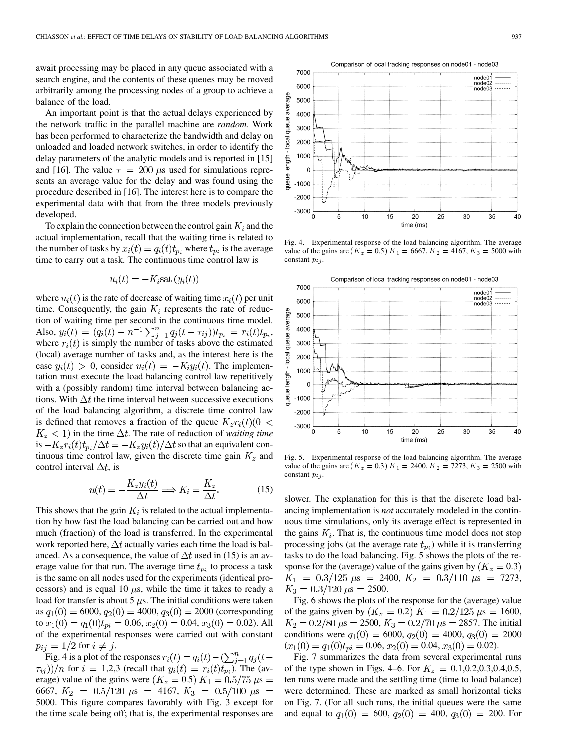await processing may be placed in any queue associated with a search engine, and the contents of these queues may be moved arbitrarily among the processing nodes of a group to achieve a balance of the load.

An important point is that the actual delays experienced by the network traffic in the parallel machine are *random*. Work has been performed to characterize the bandwidth and delay on unloaded and loaded network switches, in order to identify the delay parameters of the analytic models and is reported in [[15\]](#page-11-0) and [\[16](#page-11-0)]. The value  $\tau = 200 \mu s$  used for simulations represents an average value for the delay and was found using the procedure described in [\[16](#page-11-0)]. The interest here is to compare the experimental data with that from the three models previously developed.

To explain the connection between the control gain  $K_i$  and the actual implementation, recall that the waiting time is related to the number of tasks by  $x_i(t) = q_i(t)t_{p_i}$  where  $t_{p_i}$  is the average time to carry out a task. The continuous time control law is

$$
u_i(t) = -K_i \text{sat} \left( y_i(t) \right)
$$

where  $u_i(t)$  is the rate of decrease of waiting time  $x_i(t)$  per unit time. Consequently, the gain  $K_i$  represents the rate of reduction of waiting time per second in the continuous time model. Also,  $y_i(t) = (q_i(t) - n^{-1} \sum_{j=1}^n q_j(t - \tau_{ij})) t_{p_i} = r_i(t) t_{p_i}$ , where  $r_i(t)$  is simply the number of tasks above the estimated (local) average number of tasks and, as the interest here is the case  $y_i(t) > 0$ , consider  $u_i(t) = -K_i y_i(t)$ . The implementation must execute the load balancing control law repetitively with a (possibly random) time interval between balancing actions. With  $\Delta t$  the time interval between successive executions of the load balancing algorithm, a discrete time control law is defined that removes a fraction of the queue  $K_z r_i(t)$  (0 <  $K_z < 1$ ) in the time  $\Delta t$ . The rate of reduction of *waiting time* is  $-K_z r_i(t) t_{p_i}/\Delta t = -K_z y_i(t)/\Delta t$  so that an equivalent continuous time control law, given the discrete time gain  $K_z$  and control interval  $\Delta t$ , is

$$
u(t) = -\frac{K_z y_i(t)}{\Delta t} \Longrightarrow K_i = \frac{K_z}{\Delta t}.
$$
 (15)

This shows that the gain  $K_i$  is related to the actual implementation by how fast the load balancing can be carried out and how much (fraction) of the load is transferred. In the experimental work reported here,  $\Delta t$  actually varies each time the load is balanced. As a consequence, the value of  $\Delta t$  used in (15) is an average value for that run. The average time  $t_{p_i}$  to process a task is the same on all nodes used for the experiments (identical processors) and is equal 10  $\mu$ s, while the time it takes to ready a load for transfer is about 5  $\mu$ s. The initial conditions were taken as  $q_1(0) = 6000$ ,  $q_2(0) = 4000$ ,  $q_3(0) = 2000$  (corresponding to  $x_1(0) = q_1(0)t_{pi} = 0.06$ ,  $x_2(0) = 0.04$ ,  $x_3(0) = 0.02$ ). All of the experimental responses were carried out with constant  $p_{ij} = 1/2$  for  $i \neq j$ .

Fig. 4 is a plot of the responses  $r_i(t) = q_i(t) - (\sum_{j=1}^n q_j(t (\tau_{ij})/n$  for  $i = 1,2,3$  (recall that  $y_i(t) = r_i(t)t_{p_i}$ ). The (average) value of the gains were  $(K_z = 0.5) K_1 = 0.5/75 \mu s =$ 6667,  $K_2 = 0.5/120 \mu s = 4167$ ,  $K_3 = 0.5/100 \mu s =$ 5000. This figure compares favorably with Fig. 3 except for the time scale being off; that is, the experimental responses are

Fig. 4. Experimental response of the load balancing algorithm. The average value of the gains are  $(K_z = 0.5) K_1 = 6667, K_2 = 4167, K_3 = 5000$  with constant  $p_{ij}$ .

7000

6000

5000

Comparison of local tracking responses on node01 - node03

node01  $node02$  ------

 $node03$ 



Fig. 5. Experimental response of the load balancing algorithm. The average value of the gains are  $(K_z = 0.3) K_1 = 2400, K_2 = 7273, K_3 = 2500$  with constant  $p_{i,i}$ .

slower. The explanation for this is that the discrete load balancing implementation is *not* accurately modeled in the continuous time simulations, only its average effect is represented in the gains  $K_i$ . That is, the continuous time model does not stop processing jobs (at the average rate  $t_{p_i}$ ) while it is transferring tasks to do the load balancing. Fig. 5 shows the plots of the response for the (average) value of the gains given by  $(K_z = 0.3)$  $K_1 = 0.3/125 \ \mu s = 2400, \ K_2 = 0.3/110 \ \mu s = 7273,$  $K_3 = 0.3/120 \ \mu s = 2500.$ 

Fig. 6 shows the plots of the response for the (average) value of the gains given by  $(K_z = 0.2) K_1 = 0.2/125 \mu s = 1600$ ,  $K_2 = 0.2/80 \,\mu s = 2500, K_3 = 0.2/70 \,\mu s = 2857$ . The initial conditions were  $q_1(0) = 6000$ ,  $q_2(0) = 4000$ ,  $q_3(0) = 2000$  $(x_1(0) = q_1(0)t_{pi} = 0.06, x_2(0) = 0.04, x_3(0) = 0.02$ .

Fig. 7 summarizes the data from several experimental runs of the type shown in Figs. 4–6. For  $K_z = 0.1, 0.2, 0.3, 0.4, 0.5$ , ten runs were made and the settling time (time to load balance) were determined. These are marked as small horizontal ticks on Fig. 7. (For all such runs, the initial queues were the same and equal to  $q_1(0) = 600$ ,  $q_2(0) = 400$ ,  $q_3(0) = 200$ . For

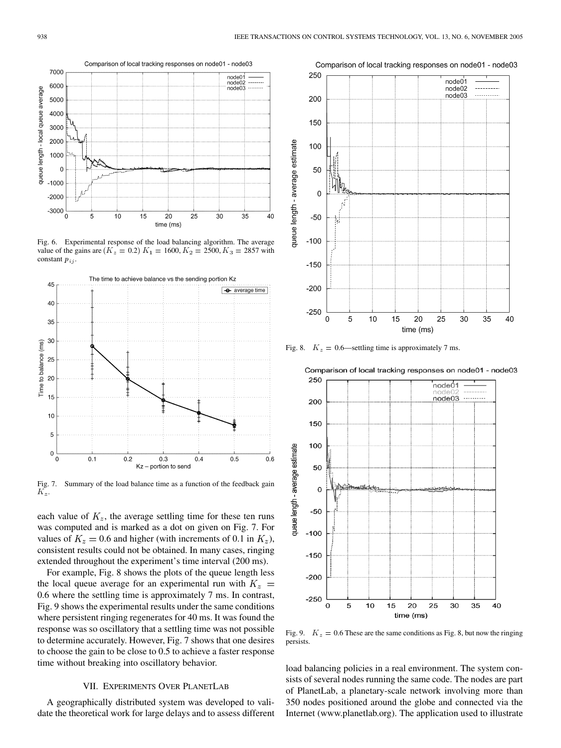

Fig. 6. Experimental response of the load balancing algorithm. The average value of the gains are  $(K_z = 0.2) K_1 = 1600, K_2 = 2500, K_3 = 2857$  with constant  $p_{ij}$ .



Fig. 7. Summary of the load balance time as a function of the feedback gain  $K_z$ .

each value of  $K_z$ , the average settling time for these ten runs was computed and is marked as a dot on given on Fig. 7. For values of  $K_z = 0.6$  and higher (with increments of 0.1 in  $K_z$ ), consistent results could not be obtained. In many cases, ringing extended throughout the experiment's time interval (200 ms).

For example, Fig. 8 shows the plots of the queue length less the local queue average for an experimental run with  $K_z =$ 0.6 where the settling time is approximately 7 ms. In contrast, Fig. 9 shows the experimental results under the same conditions where persistent ringing regenerates for 40 ms. It was found the response was so oscillatory that a settling time was not possible to determine accurately. However, Fig. 7 shows that one desires to choose the gain to be close to 0.5 to achieve a faster response time without breaking into oscillatory behavior.

### VII. EXPERIMENTS OVER PLANETLAB

A geographically distributed system was developed to validate the theoretical work for large delays and to assess different



Comparison of local tracking responses on node01 - node03

Fig. 8.  $K_z = 0.6$ —settling time is approximately 7 ms.



Comparison of local tracking responses on node01 - node03

Fig. 9.  $K_z = 0.6$  These are the same conditions as Fig. 8, but now the ringing persists.

load balancing policies in a real environment. The system consists of several nodes running the same code. The nodes are part of PlanetLab, a planetary-scale network involving more than 350 nodes positioned around the globe and connected via the Internet (www.planetlab.org). The application used to illustrate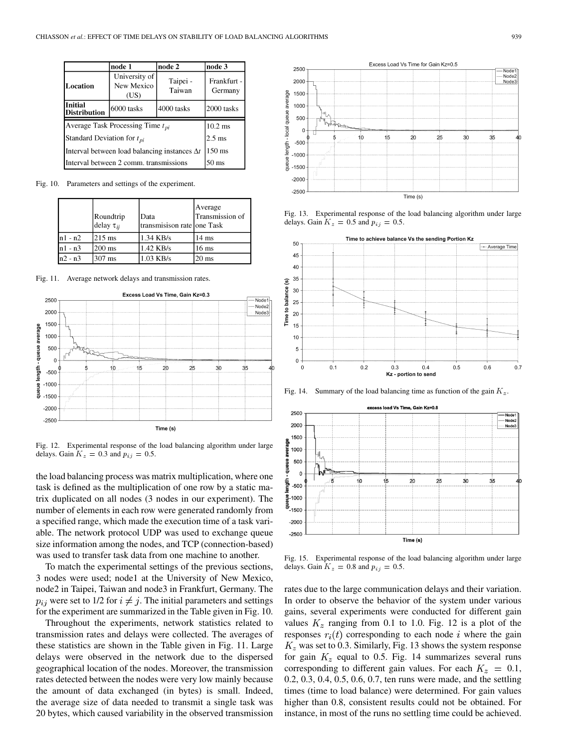|                                                      | node 1                              | node 2             | node 3                 |
|------------------------------------------------------|-------------------------------------|--------------------|------------------------|
| Location                                             | University of<br>New Mexico<br>(US) | Taipei -<br>Taiwan | Frankfurt -<br>Germany |
| Initial<br><b>Distribution</b>                       | 6000 tasks                          | 4000 tasks         | 2000 tasks             |
| Average Task Processing Time $t_{pi}$                | $10.2$ ms                           |                    |                        |
| Standard Deviation for $t_{ni}$                      | $2.5$ ms                            |                    |                        |
| Interval between load balancing instances $\Delta t$ | 150 ms                              |                    |                        |
| Interval between 2 comm. transmissions               | $50 \text{ ms}$                     |                    |                        |

Fig. 10. Parameters and settings of the experiment.

|             | Roundtrip<br>delay $\tau_{ii}$ | Data<br>transmisison rate one Task | Average<br>Transmission of |
|-------------|--------------------------------|------------------------------------|----------------------------|
| $ln 1 - n2$ | 215 ms                         | 1.34 KB/s                          | 14 ms                      |
| $n1 - n3$   | $200 \text{ ms}$               | 1.42 KB/s                          | 16 ms                      |
| $n2 - n3$   | ms                             | $.03$ KB/s                         | 20 ms                      |

Fig. 11. Average network delays and transmission rates.



Fig. 12. Experimental response of the load balancing algorithm under large delays. Gain  $K_z = 0.3$  and  $p_{ij} = 0.5$ .

the load balancing process was matrix multiplication, where one task is defined as the multiplication of one row by a static matrix duplicated on all nodes (3 nodes in our experiment). The number of elements in each row were generated randomly from a specified range, which made the execution time of a task variable. The network protocol UDP was used to exchange queue size information among the nodes, and TCP (connection-based) was used to transfer task data from one machine to another.

To match the experimental settings of the previous sections, 3 nodes were used; node1 at the University of New Mexico, node2 in Taipei, Taiwan and node3 in Frankfurt, Germany. The  $p_{ij}$  were set to 1/2 for  $i \neq j$ . The initial parameters and settings for the experiment are summarized in the Table given in Fig. 10.

Throughout the experiments, network statistics related to transmission rates and delays were collected. The averages of these statistics are shown in the Table given in Fig. 11. Large delays were observed in the network due to the dispersed geographical location of the nodes. Moreover, the transmission rates detected between the nodes were very low mainly because the amount of data exchanged (in bytes) is small. Indeed, the average size of data needed to transmit a single task was 20 bytes, which caused variability in the observed transmission



Fig. 13. Experimental response of the load balancing algorithm under large delays. Gain  $K_z = 0.5$  and  $p_{ij} = 0.5$ .



Fig. 14. Summary of the load balancing time as function of the gain  $K_z$ .



Fig. 15. Experimental response of the load balancing algorithm under large delays. Gain  $K_z = 0.8$  and  $p_{ij} = 0.5$ .

rates due to the large communication delays and their variation. In order to observe the behavior of the system under various gains, several experiments were conducted for different gain values  $K_z$  ranging from 0.1 to 1.0. Fig. 12 is a plot of the responses  $r_i(t)$  corresponding to each node i where the gain  $K<sub>z</sub>$  was set to 0.3. Similarly, Fig. 13 shows the system response for gain  $K_z$  equal to 0.5. Fig. 14 summarizes several runs corresponding to different gain values. For each  $K_z = 0.1$ , 0.2, 0.3, 0.4, 0.5, 0.6, 0.7, ten runs were made, and the settling times (time to load balance) were determined. For gain values higher than 0.8, consistent results could not be obtained. For instance, in most of the runs no settling time could be achieved.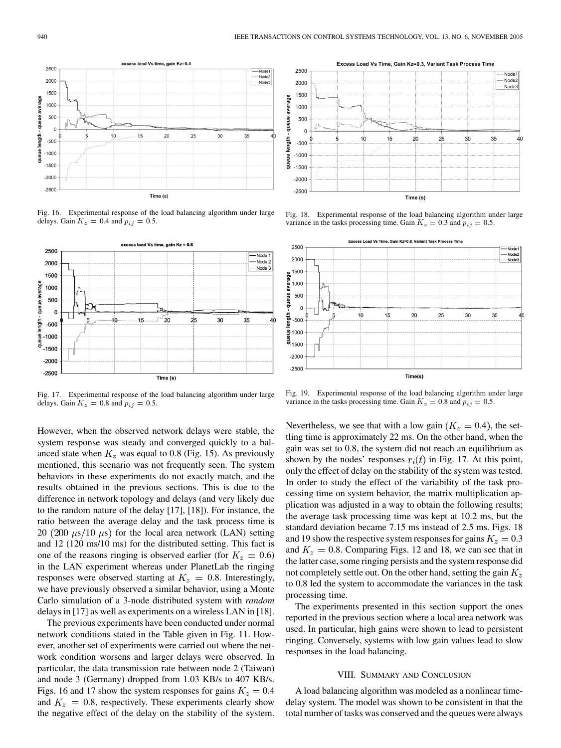

Fig. 16. Experimental response of the load balancing algorithm under large delays. Gain  $K_z = 0.4$  and  $p_{ij} = 0.5$ .



Fig. 17. Experimental response of the load balancing algorithm under large delays. Gain  $K_z = 0.8$  and  $p_{ij} = 0.5$ .

However, when the observed network delays were stable, the system response was steady and converged quickly to a balanced state when  $K_z$  was equal to 0.8 (Fig. 15). As previously mentioned, this scenario was not frequently seen. The system behaviors in these experiments do not exactly match, and the results obtained in the previous sections. This is due to the difference in network topology and delays (and very likely due to the random nature of the delay [\[17](#page-11-0)], [\[18\]](#page-11-0)). For instance, the ratio between the average delay and the task process time is 20 (200  $\mu s/10 \mu s$ ) for the local area network (LAN) setting and 12 (120 ms/10 ms) for the distributed setting. This fact is one of the reasons ringing is observed earlier (for  $K_z = 0.6$ ) in the LAN experiment whereas under PlanetLab the ringing responses were observed starting at  $K_z = 0.8$ . Interestingly, we have previously observed a similar behavior, using a Monte Carlo simulation of a 3-node distributed system with *random* delays in [\[17](#page-11-0)] as well as experiments on a wireless LAN in [[18\]](#page-11-0).

The previous experiments have been conducted under normal network conditions stated in the Table given in Fig. 11. However, another set of experiments were carried out where the network condition worsens and larger delays were observed. In particular, the data transmission rate between node 2 (Taiwan) and node 3 (Germany) dropped from 1.03 KB/s to 407 KB/s. Figs. 16 and 17 show the system responses for gains  $K_z = 0.4$ and  $K_z = 0.8$ , respectively. These experiments clearly show the negative effect of the delay on the stability of the system.



Fig. 18. Experimental response of the load balancing algorithm under large variance in the tasks processing time. Gain  $K_z = 0.3$  and  $p_{ij} = 0.5$ .



Fig. 19. Experimental response of the load balancing algorithm under large variance in the tasks processing time. Gain  $K_z = 0.8$  and  $p_{ij} = 0.5$ .

Nevertheless, we see that with a low gain  $(K_z = 0.4)$ , the settling time is approximately 22 ms. On the other hand, when the gain was set to 0.8, the system did not reach an equilibrium as shown by the nodes' responses  $r_i(t)$  in Fig. 17. At this point, only the effect of delay on the stability of the system was tested. In order to study the effect of the variability of the task processing time on system behavior, the matrix multiplication application was adjusted in a way to obtain the following results; the average task processing time was kept at 10.2 ms, but the standard deviation became 7.15 ms instead of 2.5 ms. Figs. 18 and 19 show the respective system responses for gains  $K_z = 0.3$ and  $K_z = 0.8$ . Comparing Figs. 12 and 18, we can see that in the latter case, some ringing persists and the system response did not completely settle out. On the other hand, setting the gain  $K_z$ to 0.8 led the system to accommodate the variances in the task processing time.

The experiments presented in this section support the ones reported in the previous section where a local area network was used. In particular, high gains were shown to lead to persistent ringing. Conversely, systems with low gain values lead to slow responses in the load balancing.

#### VIII. SUMMARY AND CONCLUSION

A load balancing algorithm was modeled as a nonlinear timedelay system. The model was shown to be consistent in that the total number of tasks was conserved and the queues were always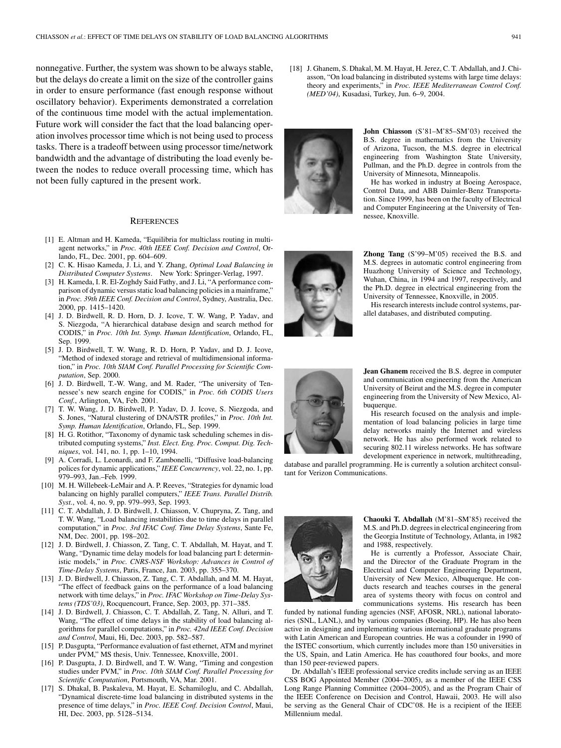<span id="page-11-0"></span>nonnegative. Further, the system was shown to be always stable, but the delays do create a limit on the size of the controller gains in order to ensure performance (fast enough response without oscillatory behavior). Experiments demonstrated a correlation of the continuous time model with the actual implementation. Future work will consider the fact that the load balancing operation involves processor time which is not being used to process tasks. There is a tradeoff between using processor time/network bandwidth and the advantage of distributing the load evenly between the nodes to reduce overall processing time, which has not been fully captured in the present work.

#### **REFERENCES**

- [1] E. Altman and H. Kameda, "Equilibria for multiclass routing in multiagent networks," in *Proc. 40th IEEE Conf. Decision and Control*, Orlando, FL, Dec. 2001, pp. 604–609.
- [2] C. K. Hisao Kameda, J. Li, and Y. Zhang, *Optimal Load Balancing in Distributed Computer Systems*. New York: Springer-Verlag, 1997.
- [3] H. Kameda, I. R. El-Zoghdy Said Fathy, and J. Li, "A performance comparison of dynamic versus static load balancing policies in a mainframe," in *Proc. 39th IEEE Conf. Decision and Control*, Sydney, Australia, Dec. 2000, pp. 1415–1420.
- [4] J. D. Birdwell, R. D. Horn, D. J. Icove, T. W. Wang, P. Yadav, and S. Niezgoda, "A hierarchical database design and search method for CODIS," in *Proc. 10th Int. Symp. Human Identification*, Orlando, FL, Sep. 1999.
- [5] J. D. Birdwell, T. W. Wang, R. D. Horn, P. Yadav, and D. J. Icove, "Method of indexed storage and retrieval of multidimensional information," in *Proc. 10th SIAM Conf. Parallel Processing for Scientific Computation*, Sep. 2000.
- [6] J. D. Birdwell, T.-W. Wang, and M. Rader, "The university of Tennessee's new search engine for CODIS," in *Proc. 6th CODIS Users Conf.*, Arlington, VA, Feb. 2001.
- [7] T. W. Wang, J. D. Birdwell, P. Yadav, D. J. Icove, S. Niezgoda, and S. Jones, "Natural clustering of DNA/STR profiles," in *Proc. 10th Int. Symp. Human Identification*, Orlando, FL, Sep. 1999.
- [8] H. G. Rotithor, "Taxonomy of dynamic task scheduling schemes in distributed computing systems," *Inst. Elect. Eng. Proc. Comput. Dig. Techniques*, vol. 141, no. 1, pp. 1–10, 1994.
- [9] A. Corradi, L. Leonardi, and F. Zambonelli, "Diffusive load-balancing polices for dynamic applications," *IEEE Concurrency*, vol. 22, no. 1, pp. 979–993, Jan.–Feb. 1999.
- [10] M. H. Willebeek-LeMair and A. P. Reeves, "Strategies for dynamic load balancing on highly parallel computers," *IEEE Trans. Parallel Distrib. Syst.*, vol. 4, no. 9, pp. 979–993, Sep. 1993.
- [11] C. T. Abdallah, J. D. Birdwell, J. Chiasson, V. Chupryna, Z. Tang, and T. W. Wang, "Load balancing instabilities due to time delays in parallel computation," in *Proc. 3rd IFAC Conf. Time Delay Systems*, Sante Fe, NM, Dec. 2001, pp. 198–202.
- [12] J. D. Birdwell, J. Chiasson, Z. Tang, C. T. Abdallah, M. Hayat, and T. Wang, "Dynamic time delay models for load balancing part I: deterministic models," in *Proc. CNRS-NSF Workshop: Advances in Control of Time-Delay Systems*, Paris, France, Jan. 2003, pp. 355–370.
- [13] J. D. Birdwell, J. Chiasson, Z. Tang, C. T. Abdallah, and M. M. Hayat, "The effect of feedback gains on the performance of a load balancing network with time delays," in *Proc. IFAC Workshop on Time-Delay Systems (TDS'03)*, Rocquencourt, France, Sep. 2003, pp. 371–385.
- [14] J. D. Birdwell, J. Chiasson, C. T. Abdallah, Z. Tang, N. Alluri, and T. Wang, "The effect of time delays in the stability of load balancing algorithms for parallel computations," in *Proc. 42nd IEEE Conf. Decision and Control*, Maui, Hi, Dec. 2003, pp. 582–587.
- [15] P. Dasgupta, "Performance evaluation of fast ethernet, ATM and myrinet under PVM," MS thesis, Univ. Tennessee, Knoxville, 2001.
- [16] P. Dasgupta, J. D. Birdwell, and T. W. Wang, "Timing and congestion studies under PVM," in *Proc. 10th SIAM Conf. Parallel Processing for Scientific Computation*, Portsmouth, VA, Mar. 2001.
- [17] S. Dhakal, B. Paskaleva, M. Hayat, E. Schamiloglu, and C. Abdallah, "Dynamical discrete-time load balancing in distributed systems in the presence of time delays," in *Proc. IEEE Conf. Decision Control*, Maui, HI, Dec. 2003, pp. 5128–5134.

[18] J. Ghanem, S. Dhakal, M. M. Hayat, H. Jerez, C. T. Abdallah, and J. Chiasson, "On load balancing in distributed systems with large time delays: theory and experiments," in *Proc. IEEE Mediterranean Control Conf. (MED'04)*, Kusadasi, Turkey, Jun. 6–9, 2004.



**John Chiasson** (S'81–M'85–SM'03) received the B.S. degree in mathematics from the University of Arizona, Tucson, the M.S. degree in electrical engineering from Washington State University, Pullman, and the Ph.D. degree in controls from the University of Minnesota, Minneapolis.

He has worked in industry at Boeing Aerospace, Control Data, and ABB Daimler-Benz Transportation. Since 1999, has been on the faculty of Electrical and Computer Engineering at the University of Tennessee, Knoxville.



**Zhong Tang** (S'99–M'05) received the B.S. and M.S. degrees in automatic control engineering from Huazhong University of Science and Technology, Wuhan, China, in 1994 and 1997, respectively, and the Ph.D. degree in electrical engineering from the University of Tennessee, Knoxville, in 2005.

His research interests include control systems, parallel databases, and distributed computing.



**Jean Ghanem** received the B.S. degree in computer and communication engineering from the American University of Beirut and the M.S. degree in computer engineering from the University of New Mexico, Albuquerque.

His research focused on the analysis and implementation of load balancing policies in large time delay networks mainly the Internet and wireless network. He has also performed work related to securing 802.11 wireless networks. He has software development experience in network, multithreading,

database and parallel programming. He is currently a solution architect consultant for Verizon Communications.



**Chaouki T. Abdallah** (M'81–SM'85) received the M.S. and Ph.D. degrees in electrical engineering from the Georgia Institute of Technology, Atlanta, in 1982 and 1988, respectively.

He is currently a Professor, Associate Chair, and the Director of the Graduate Program in the Electrical and Computer Engineering Department, University of New Mexico, Albuquerque. He conducts research and teaches courses in the general area of systems theory with focus on control and communications systems. His research has been

funded by national funding agencies (NSF, AFOSR, NRL), national laboratories (SNL, LANL), and by various companies (Boeing, HP). He has also been active in designing and implementing various international graduate programs with Latin American and European countries. He was a cofounder in 1990 of the ISTEC consortium, which currently includes more than 150 universities in the US, Spain, and Latin America. He has coauthored four books, and more than 150 peer-reviewed papers.

Dr. Abdallah's IEEE professional service credits include serving as an IEEE CSS BOG Appointed Member (2004–2005), as a member of the IEEE CSS Long Range Planning Committee (2004–2005), and as the Program Chair of the IEEE Conference on Decision and Control, Hawaii, 2003. He will also be serving as the General Chair of CDC'08. He is a recipient of the IEEE Millennium medal.